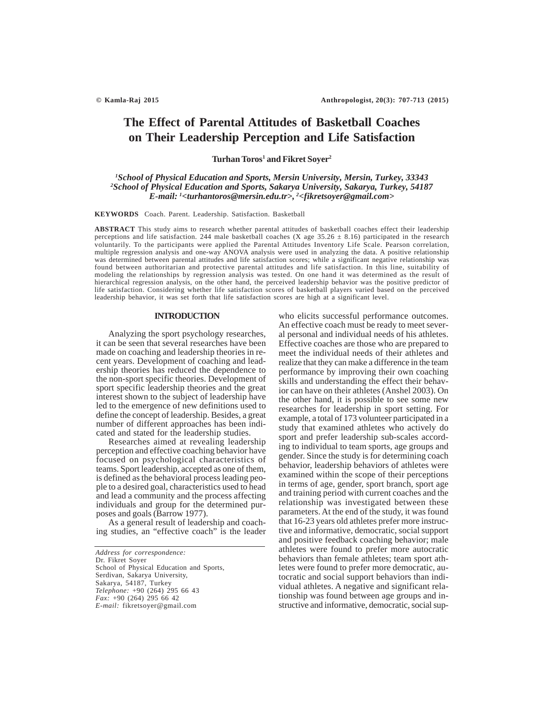# **The Effect of Parental Attitudes of Basketball Coaches on Their Leadership Perception and Life Satisfaction**

 $Turhan Toros<sup>1</sup>$  and Fikret Soyer<sup>2</sup>

# *1 School of Physical Education and Sports, Mersin University, Mersin, Turkey, 33343 2 School of Physical Education and Sports, Sakarya University, Sakarya, Turkey, 54187 E-mail: 1 <turhantoros@mersin.edu.tr>, 2 <fikretsoyer@gmail.com>*

**KEYWORDS** Coach. Parent. Leadership. Satisfaction. Basketball

**ABSTRACT** This study aims to research whether parental attitudes of basketball coaches effect their leadership perceptions and life satisfaction. 244 male basketball coaches (X age  $35.26 \pm 8.16$ ) participated in the research voluntarily. To the participants were applied the Parental Attitudes Inventory Life Scale. Pearson correlation, multiple regression analysis and one-way ANOVA analysis were used in analyzing the data. A positive relationship was determined between parental attitudes and life satisfaction scores; while a significant negative relationship was found between authoritarian and protective parental attitudes and life satisfaction. In this line, suitability of modeling the relationships by regression analysis was tested. On one hand it was determined as the result of hierarchical regression analysis, on the other hand, the perceived leadership behavior was the positive predictor of life satisfaction. Considering whether life satisfaction scores of basketball players varied based on the perceived leadership behavior, it was set forth that life satisfaction scores are high at a significant level.

## **INTRODUCTION**

Analyzing the sport psychology researches, it can be seen that several researches have been made on coaching and leadership theories in recent years. Development of coaching and leadership theories has reduced the dependence to the non-sport specific theories. Development of sport specific leadership theories and the great interest shown to the subject of leadership have led to the emergence of new definitions used to define the concept of leadership. Besides, a great number of different approaches has been indicated and stated for the leadership studies.

Researches aimed at revealing leadership perception and effective coaching behavior have focused on psychological characteristics of teams. Sport leadership, accepted as one of them, is defined as the behavioral process leading people to a desired goal, characteristics used to head and lead a community and the process affecting individuals and group for the determined purposes and goals (Barrow 1977).

As a general result of leadership and coaching studies, an "effective coach" is the leader

*Address for correspondence:* Dr. Fikret Soyer School of Physical Education and Sports, Serdivan, Sakarya University, Sakarya, 54187, Turkey *Telephone:* +90 (264) 295 66 43 *Fax:* +90 (264) 295 66 42 *E-mail:* fikretsoyer@gmail.com

who elicits successful performance outcomes. An effective coach must be ready to meet several personal and individual needs of his athletes. Effective coaches are those who are prepared to meet the individual needs of their athletes and realize that they can make a difference in the team performance by improving their own coaching skills and understanding the effect their behavior can have on their athletes (Anshel 2003). On the other hand, it is possible to see some new researches for leadership in sport setting. For example, a total of 173 volunteer participated in a study that examined athletes who actively do sport and prefer leadership sub-scales according to individual to team sports, age groups and gender. Since the study is for determining coach behavior, leadership behaviors of athletes were examined within the scope of their perceptions in terms of age, gender, sport branch, sport age and training period with current coaches and the relationship was investigated between these parameters. At the end of the study, it was found that 16-23 years old athletes prefer more instructive and informative, democratic, social support and positive feedback coaching behavior; male athletes were found to prefer more autocratic behaviors than female athletes; team sport athletes were found to prefer more democratic, autocratic and social support behaviors than individual athletes. A negative and significant relationship was found between age groups and instructive and informative, democratic, social sup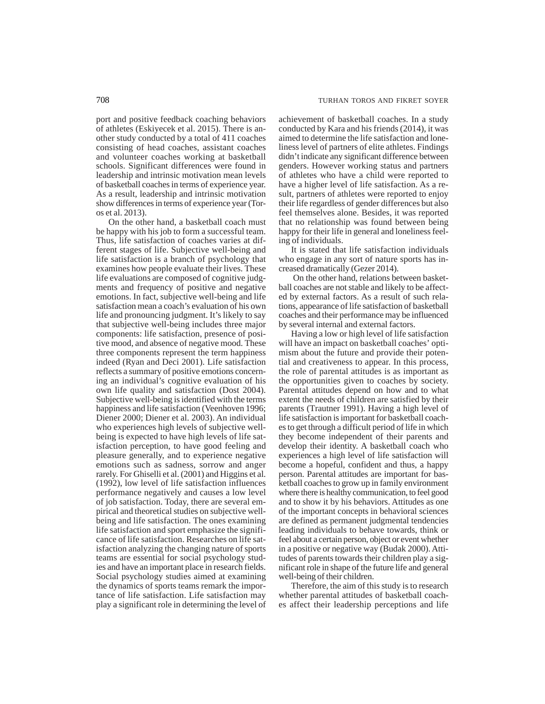port and positive feedback coaching behaviors of athletes (Eskiyecek et al. 2015). There is another study conducted by a total of 411 coaches consisting of head coaches, assistant coaches and volunteer coaches working at basketball schools. Significant differences were found in leadership and intrinsic motivation mean levels of basketball coaches in terms of experience year. As a result, leadership and intrinsic motivation show differences in terms of experience year (Toros et al. 2013).

On the other hand, a basketball coach must be happy with his job to form a successful team. Thus, life satisfaction of coaches varies at different stages of life. Subjective well-being and life satisfaction is a branch of psychology that examines how people evaluate their lives. These life evaluations are composed of cognitive judgments and frequency of positive and negative emotions. In fact, subjective well-being and life satisfaction mean a coach's evaluation of his own life and pronouncing judgment. It's likely to say that subjective well-being includes three major components: life satisfaction, presence of positive mood, and absence of negative mood. These three components represent the term happiness indeed (Ryan and Deci 2001). Life satisfaction reflects a summary of positive emotions concerning an individual's cognitive evaluation of his own life quality and satisfaction (Dost 2004). Subjective well-being is identified with the terms happiness and life satisfaction (Veenhoven 1996; Diener 2000; Diener et al. 2003). An individual who experiences high levels of subjective wellbeing is expected to have high levels of life satisfaction perception, to have good feeling and pleasure generally, and to experience negative emotions such as sadness, sorrow and anger rarely. For Ghiselli et al. (2001) and Higgins et al. (1992), low level of life satisfaction influences performance negatively and causes a low level of job satisfaction. Today, there are several empirical and theoretical studies on subjective wellbeing and life satisfaction. The ones examining life satisfaction and sport emphasize the significance of life satisfaction. Researches on life satisfaction analyzing the changing nature of sports teams are essential for social psychology studies and have an important place in research fields. Social psychology studies aimed at examining the dynamics of sports teams remark the importance of life satisfaction. Life satisfaction may play a significant role in determining the level of achievement of basketball coaches. In a study conducted by Kara and his friends (2014), it was aimed to determine the life satisfaction and loneliness level of partners of elite athletes. Findings didn't indicate any significant difference between genders. However working status and partners of athletes who have a child were reported to have a higher level of life satisfaction. As a result, partners of athletes were reported to enjoy their life regardless of gender differences but also feel themselves alone. Besides, it was reported that no relationship was found between being happy for their life in general and loneliness feeling of individuals.

It is stated that life satisfaction individuals who engage in any sort of nature sports has increased dramatically (Gezer 2014).

 On the other hand, relations between basketball coaches are not stable and likely to be affected by external factors. As a result of such relations, appearance of life satisfaction of basketball coaches and their performance may be influenced by several internal and external factors.

Having a low or high level of life satisfaction will have an impact on basketball coaches' optimism about the future and provide their potential and creativeness to appear. In this process, the role of parental attitudes is as important as the opportunities given to coaches by society. Parental attitudes depend on how and to what extent the needs of children are satisfied by their parents (Trautner 1991). Having a high level of life satisfaction is important for basketball coaches to get through a difficult period of life in which they become independent of their parents and develop their identity. A basketball coach who experiences a high level of life satisfaction will become a hopeful, confident and thus, a happy person. Parental attitudes are important for basketball coaches to grow up in family environment where there is healthy communication, to feel good and to show it by his behaviors. Attitudes as one of the important concepts in behavioral sciences are defined as permanent judgmental tendencies leading individuals to behave towards, think or feel about a certain person, object or event whether in a positive or negative way (Budak 2000). Attitudes of parents towards their children play a significant role in shape of the future life and general well-being of their children.

Therefore, the aim of this study is to research whether parental attitudes of basketball coaches affect their leadership perceptions and life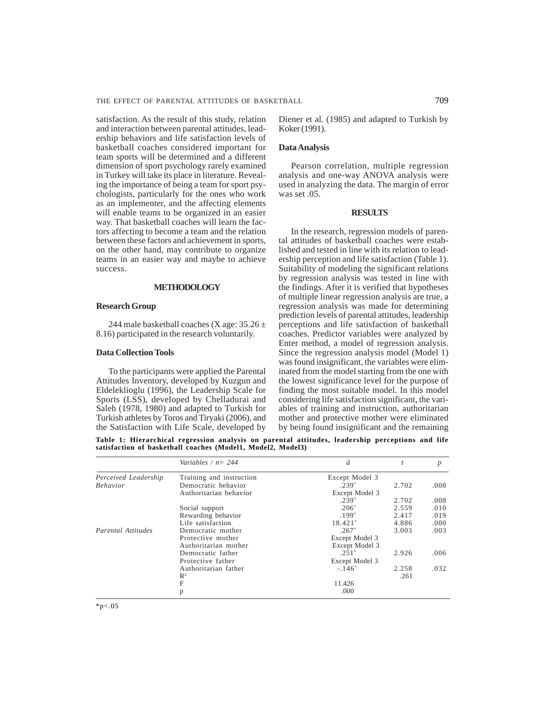satisfaction. As the result of this study, relation and interaction between parental attitudes, leadership behaviors and life satisfaction levels of basketball coaches considered important for team sports will be determined and a different dimension of sport psychology rarely examined in Turkey will take its place in literature. Revealing the importance of being a team for sport psychologists, particularly for the ones who work as an implementer, and the affecting elements will enable teams to be organized in an easier way. That basketball coaches will learn the factors affecting to become a team and the relation between these factors and achievement in sports, on the other hand, may contribute to organize teams in an easier way and maybe to achieve success.

## **METHODOLOGY**

## **Research Group**

244 male basketball coaches (X age:  $35.26 \pm$ 8.16) participated in the research voluntarily.

# **Data Collection Tools**

To the participants were applied the Parental Attitudes Inventory, developed by Kuzgun and Eldeleklioglu (1996), the Leadership Scale for Sports (LSS), developed by Chelladurai and Saleh (1978, 1980) and adapted to Turkish for Turkish athletes by Toros and Tiryaki (2006), and the Satisfaction with Life Scale, developed by

Diener et al. (1985) and adapted to Turkish by Koker (1991).

## **Data Analysis**

Pearson correlation, multiple regression analysis and one-way ANOVA analysis were used in analyzing the data. The margin of error was set .05.

## **RESULTS**

In the research, regression models of parental attitudes of basketball coaches were established and tested in line with its relation to leadership perception and life satisfaction (Table 1). Suitability of modeling the significant relations by regression analysis was tested in line with the findings. After it is verified that hypotheses of multiple linear regression analysis are true, a regression analysis was made for determining prediction levels of parental attitudes, leadership perceptions and life satisfaction of basketball coaches. Predictor variables were analyzed by Enter method, a model of regression analysis. Since the regression analysis model (Model 1) was found insignificant, the variables were eliminated from the model starting from the one with the lowest significance level for the purpose of finding the most suitable model. In this model considering life satisfaction significant, the variables of training and instruction, authoritarian mother and protective mother were eliminated by being found insignificant and the remaining

**Table 1: Hierarchical regression analysis on parental attitudes, leadership perceptions and life satisfaction of basketball coaches (Model1, Model2, Model3)**

|                           | Variables / $n = 244$    | â              |       | $\boldsymbol{p}$ |
|---------------------------|--------------------------|----------------|-------|------------------|
| Perceived Leadership      | Training and instruction | Except Model 3 |       |                  |
| <b>Behavior</b>           | Democratic behavior      | $.239*$        | 2.702 | .008             |
|                           | Authoritarian behavior   | Except Model 3 |       |                  |
|                           |                          | $.239*$        | 2.702 | .008             |
|                           | Social support           | $.206*$        | 2.559 | .010             |
|                           | Rewarding behavior       | $.199*$        | 2.417 | .019             |
|                           | Life satisfaction        | $18.421*$      | 4.886 | .000             |
| <b>Parental Attitudes</b> | Democratic mother        | $.267*$        | 3.003 | .003             |
|                           | Protective mother        | Except Model 3 |       |                  |
|                           | Authoritarian mother     | Except Model 3 |       |                  |
|                           | Democratic father        | $.251*$        | 2.926 | .006             |
|                           | Protective father        | Except Model 3 |       |                  |
|                           | Authoritarian father     | $-.146*$       | 2.258 | .032             |
|                           | $\mathbb{R}^2$           |                | .261  |                  |
|                           | $\mathbf{F}$             | 11.426         |       |                  |
|                           | p                        | .000           |       |                  |

 $*p<.05$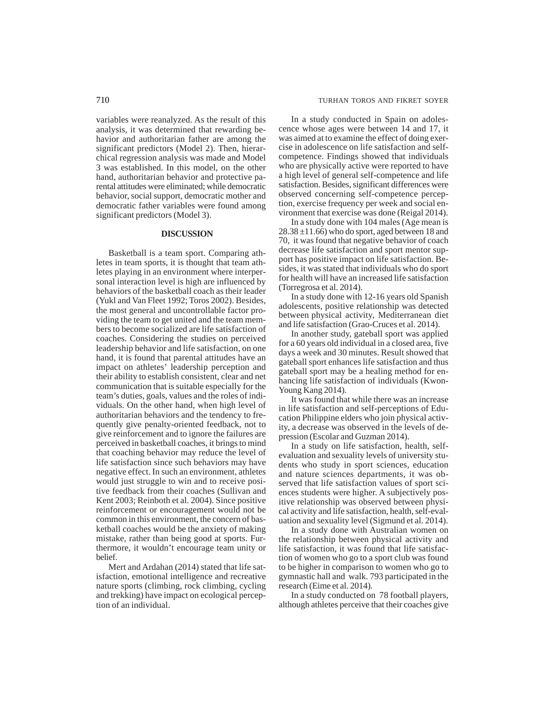variables were reanalyzed. As the result of this analysis, it was determined that rewarding behavior and authoritarian father are among the significant predictors (Model 2). Then, hierarchical regression analysis was made and Model 3 was established. In this model, on the other hand, authoritarian behavior and protective parental attitudes were eliminated; while democratic behavior, social support, democratic mother and democratic father variables were found among significant predictors (Model 3).

## **DISCUSSION**

Basketball is a team sport. Comparing athletes in team sports, it is thought that team athletes playing in an environment where interpersonal interaction level is high are influenced by behaviors of the basketball coach as their leader (Yukl and Van Fleet 1992; Toros 2002). Besides, the most general and uncontrollable factor providing the team to get united and the team members to become socialized are life satisfaction of coaches. Considering the studies on perceived leadership behavior and life satisfaction, on one hand, it is found that parental attitudes have an impact on athletes' leadership perception and their ability to establish consistent, clear and net communication that is suitable especially for the team's duties, goals, values and the roles of individuals. On the other hand, when high level of authoritarian behaviors and the tendency to frequently give penalty-oriented feedback, not to give reinforcement and to ignore the failures are perceived in basketball coaches, it brings to mind that coaching behavior may reduce the level of life satisfaction since such behaviors may have negative effect. In such an environment, athletes would just struggle to win and to receive positive feedback from their coaches (Sullivan and Kent 2003; Reinboth et al. 2004). Since positive reinforcement or encouragement would not be common in this environment, the concern of basketball coaches would be the anxiety of making mistake, rather than being good at sports. Furthermore, it wouldn't encourage team unity or belief.

Mert and Ardahan (2014) stated that life satisfaction, emotional intelligence and recreative nature sports (climbing, rock climbing, cycling and trekking) have impact on ecological perception of an individual.

In a study conducted in Spain on adolescence whose ages were between 14 and 17, it was aimed at to examine the effect of doing exercise in adolescence on life satisfaction and selfcompetence. Findings showed that individuals who are physically active were reported to have a high level of general self-competence and life satisfaction. Besides, significant differences were observed concerning self-competence perception, exercise frequency per week and social environment that exercise was done (Reigal 2014).

In a study done with 104 males (Age mean is  $28.38 \pm 11.66$ ) who do sport, aged between 18 and 70, it was found that negative behavior of coach decrease life satisfaction and sport mentor support has positive impact on life satisfaction. Besides, it was stated that individuals who do sport for health will have an increased life satisfaction (Torregrosa et al. 2014).

In a study done with 12-16 years old Spanish adolescents, positive relationship was detected between physical activity, Mediterranean diet and life satisfaction (Grao-Cruces et al. 2014).

In another study, gateball sport was applied for a 60 years old individual in a closed area, five days a week and 30 minutes. Result showed that gateball sport enhances life satisfaction and thus gateball sport may be a healing method for enhancing life satisfaction of individuals (Kwon-Young Kang 2014).

It was found that while there was an increase in life satisfaction and self-perceptions of Education Philippine elders who join physical activity, a decrease was observed in the levels of depression (Escolar and Guzman 2014).

In a study on life satisfaction, health, selfevaluation and sexuality levels of university students who study in sport sciences, education and nature sciences departments, it was observed that life satisfaction values of sport sciences students were higher. A subjectively positive relationship was observed between physical activity and life satisfaction, health, self-evaluation and sexuality level (Sigmund et al. 2014).

In a study done with Australian women on the relationship between physical activity and life satisfaction, it was found that life satisfaction of women who go to a sport club was found to be higher in comparison to women who go to gymnastic hall and walk. 793 participated in the research (Eime et al. 2014).

In a study conducted on 78 football players, although athletes perceive that their coaches give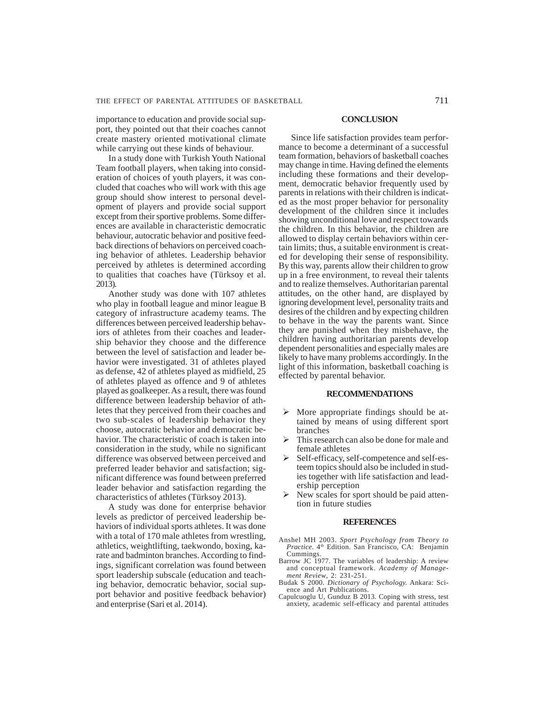importance to education and provide social support, they pointed out that their coaches cannot create mastery oriented motivational climate while carrying out these kinds of behaviour.

In a study done with Turkish Youth National Team football players, when taking into consideration of choices of youth players, it was concluded that coaches who will work with this age group should show interest to personal development of players and provide social support except from their sportive problems. Some differences are available in characteristic democratic behaviour, autocratic behavior and positive feedback directions of behaviors on perceived coaching behavior of athletes. Leadership behavior perceived by athletes is determined according to qualities that coaches have (Türksoy et al. 2013).

Another study was done with 107 athletes who play in football league and minor league B category of infrastructure academy teams. The differences between perceived leadership behaviors of athletes from their coaches and leadership behavior they choose and the difference between the level of satisfaction and leader behavior were investigated. 31 of athletes played as defense, 42 of athletes played as midfield, 25 of athletes played as offence and 9 of athletes played as goalkeeper. As a result, there was found difference between leadership behavior of athletes that they perceived from their coaches and two sub-scales of leadership behavior they choose, autocratic behavior and democratic behavior. The characteristic of coach is taken into consideration in the study, while no significant difference was observed between perceived and preferred leader behavior and satisfaction; significant difference was found between preferred leader behavior and satisfaction regarding the characteristics of athletes (Türksoy 2013).

A study was done for enterprise behavior levels as predictor of perceived leadership behaviors of individual sports athletes. It was done with a total of 170 male athletes from wrestling, athletics, weightlifting, taekwondo, boxing, karate and badminton branches. According to findings, significant correlation was found between sport leadership subscale (education and teaching behavior, democratic behavior, social support behavior and positive feedback behavior) and enterprise (Sari et al. 2014).

#### **CONCLUSION**

Since life satisfaction provides team performance to become a determinant of a successful team formation, behaviors of basketball coaches may change in time. Having defined the elements including these formations and their development, democratic behavior frequently used by parents in relations with their children is indicated as the most proper behavior for personality development of the children since it includes showing unconditional love and respect towards the children. In this behavior, the children are allowed to display certain behaviors within certain limits; thus, a suitable environment is created for developing their sense of responsibility. By this way, parents allow their children to grow up in a free environment, to reveal their talents and to realize themselves. Authoritarian parental attitudes, on the other hand, are displayed by ignoring development level, personality traits and desires of the children and by expecting children to behave in the way the parents want. Since they are punished when they misbehave, the children having authoritarian parents develop dependent personalities and especially males are likely to have many problems accordingly. In the light of this information, basketball coaching is effected by parental behavior.

#### **RECOMMENDATIONS**

- More appropriate findings should be attained by means of using different sport branches
- $\triangleright$  This research can also be done for male and female athletes
- ¾ Self-efficacy, self-competence and self-esteem topics should also be included in studies together with life satisfaction and leadership perception
- New scales for sport should be paid attention in future studies

#### **REFERENCES**

- Anshel MH 2003. *Sport Psychology from Theory to Practice*. 4th Edition. San Francisco, CA: Benjamin Cummings.
- Barrow JC 1977. The variables of leadership: A review and conceptual framework. *Academy of Management Review*, 2: 231-251.
- Budak S 2000. *Dictionary of Psychology.* Ankara: Science and Art Publications.
- Capulcuoglu U, Gunduz B 2013. Coping with stress, test anxiety, academic self-efficacy and parental attitudes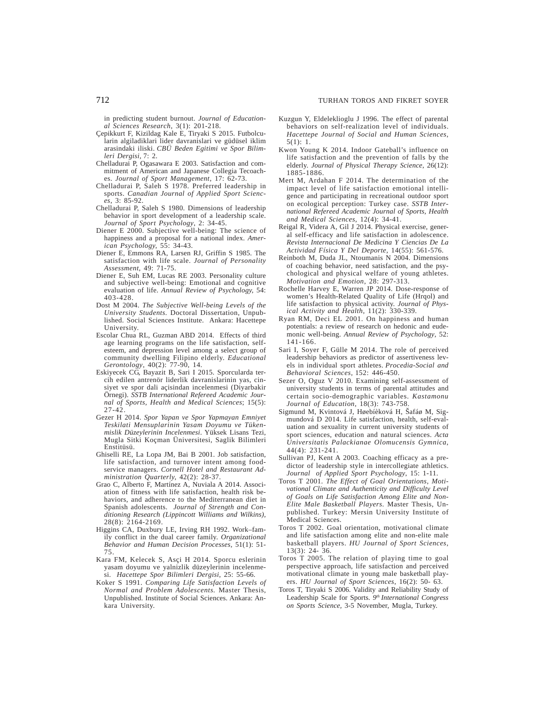in predicting student burnout. *Journal of Educational Sciences Research*, 3(1): 201-218.

- Çepikkurt F, Kizildag Kale E, Tiryaki S 2015. Futbolcularin algiladiklari lider davranislari ve güdüsel iklim arasindaki iliski. *CBÜ Beden Egitimi ve Spor Bilimleri Dergisi,* 7: 2.
- Chelladurai P, Ogasawara E 2003. Satisfaction and commitment of American and Japanese Collegia Tecoaches. *Journal of Sport Management*, 17: 62-73.
- Chelladurai P, Saleh S 1978. Preferred leadership in sports. *Canadian Journal of Applied Sport Sciences*, 3: 85-92.
- Chelladurai P, Saleh S 1980. Dimensions of leadership behavior in sport development of a leadership scale. *Journal of Sport Psychology*, 2: 34-45.
- Diener E 2000. Subjective well-being: The science of happiness and a proposal for a national index. *American Psychology,* 55: 34-43.
- Diener E, Emmons RA, Larsen RJ, Griffin S 1985. The satisfaction with life scale. *Journal of Personality Assessment*, 49: 71-75.
- Diener E, Suh EM, Lucas RE 2003. Personality culture and subjective well-being: Emotional and cognitive evaluation of life. *Annual Review of Psychology,* 54: 403-428.
- Dost M 2004. *The Subjective Well-being Levels of the University Students.* Doctoral Dissertation, Unpublished. Social Sciences Institute. Ankara: Hacettepe University.
- Escolar Chua RL, Guzman ABD 2014. Effects of third age learning programs on the life satisfaction, selfesteem, and depression level among a select group of community dwelling Filipino elderly. *Educational Gerontology*, 40(2): 77-90, 14.
- Eskiyecek CG, Bayazit B, Sari I 2015. Sporcularda tercih edilen antrenör liderlik davranislarinin yas, cinsiyet ve spor dali açisindan incelenmesi (Diyarbakir Örnegi). *SSTB International Refereed Academic Journal of Sports, Health and Medical Sciences*; 15(5):  $27-42.$
- Gezer H 2014. *Spor Yapan ve Spor Yapmayan Emniyet Teskilati Mensuplarinin Yasam Doyumu ve Tükenmislik Düzeylerinin Incelenmesi*. Yüksek Lisans Tezi, Mugla Sitki Koçman Üniversitesi, Saglik Bilimleri Enstitüsü.
- Ghiselli RE, La Lopa JM, Bai B 2001. Job satisfaction, life satisfaction, and turnover intent among foodservice managers. *Cornell Hotel and Restaurant Administration Quarterly,* 42(2): 28-37.
- Grao C, Alberto F, Martínez A, Nuviala A 2014. Association of fitness with life satisfaction, health risk behaviors, and adherence to the Mediterranean diet in Spanish adolescents. *Journal of Strength and Conditioning Research (Lippincott Williams and Wilkins),* 28(8): 2164-2169.
- Higgins CA, Duxbury LE, Irving RH 1992. Work–family conflict in the dual career family. *Organizational Behavior and Human Decision Processes*, 51(1): 51- 75.
- Kara FM, Kelecek S, Asçi H 2014. Sporcu eslerinin yasam doyumu ve yalnizlik düzeylerinin incelenmesi. *Hacettepe Spor Bilimleri Dergisi*, 25: 55-66*.*
- Koker S 1991. *Comparing Life Satisfaction Levels of Normal and Problem Adolescents.* Master Thesis, Unpublished. Institute of Social Sciences. Ankara: Ankara University.
- Kuzgun Y, Eldeleklioglu J 1996. The effect of parental behaviors on self-realization level of individuals. *Hacettepe Journal of Social and Human Sciences*, 5(1): 1.
- Kwon Young K 2014. Indoor Gateball's influence on life satisfaction and the prevention of falls by the elderly. *Journal of Physical Therapy Science*, 26(12): 1885-1886.
- Mert M, Ardahan F 2014. The determination of the impact level of life satisfaction emotional intelligence and participating in recreational outdoor sport on ecological perception: Turkey case. *SSTB International Refereed Academic Journal of Sports, Health and Medical Sciences,* 12(4): 34-41.
- Reigal R, Videra A, Gil J 2014. Physical exercise, general self-efficacy and life satisfaction in adolescence. *Revista Internacional De Medicina Y Ciencias De La Actividad Física Y Del Deporte,* 14(55): 561-576.
- Reinboth M, Duda JL, Ntoumanis N 2004. Dimensions of coaching behavior, need satisfaction, and the psychological and physical welfare of young athletes. *Motivation and Emotion*, 28: 297-313.
- Rochelle Harvey E, Warren JP 2014. Dose-response of women's Health-Related Quality of Life (Hrqol) and life satisfaction to physical activity. *Journal of Physical Activity and Health*, 11(2): 330-339.
- Ryan RM, Deci EL 2001. On happiness and human potentials: a review of research on hedonic and eudemonic well-being. *Annual Review of Psychology*, 52: 141-166.
- Sari I, Soyer F, Gülle M 2014. The role of perceived leadership behaviors as predictor of assertiveness levels in individual sport athletes. *Procedia-Social and Behavioral Sciences,* 152: 446-450.
- Sezer O, Oguz V 2010. Examining self-assessment of university students in terms of parental attitudes and certain socio-demographic variables. *Kastamonu Journal of Education*, 18(3): 743-758.
- Sigmund M, Kvintová J, Høebíèková H, Šafáø M, Sigmundová D 2014. Life satisfaction, health, self-evaluation and sexuality in current university students of sport sciences, education and natural sciences. *Acta Universitatis Palackianae Olomucensis Gymnica*, 44(4): 231-241.
- Sullivan PJ, Kent A 2003. Coaching efficacy as a predictor of leadership style in intercollegiate athletics. *Journal of Applied Sport Psychology*, 15: 1-11.
- Toros T 2001. *The Effect of Goal Orientations, Motivational Climate and Authenticity and Difficulty Level of Goals on Life Satisfaction Among Elite and Non-Elite Male Basketball Players*. Master Thesis, Unpublished. Turkey: Mersin University Institute of Medical Sciences.
- Toros T 2002. Goal orientation, motivational climate and life satisfaction among elite and non-elite male basketball players. *HU Journal of Sport Sciences,* 13(3): 24- 36.
- Toros T 2005. The relation of playing time to goal perspective approach, life satisfaction and perceived motivational climate in young male basketball players. *HU Journal of Sport Sciences*, 16(2): 50- 63.
- Toros T, Tiryaki S 2006. Validity and Reliability Study of Leadership Scale for Sports. *9th International Congress on Sports Science,* 3-5 November, Mugla, Turkey.